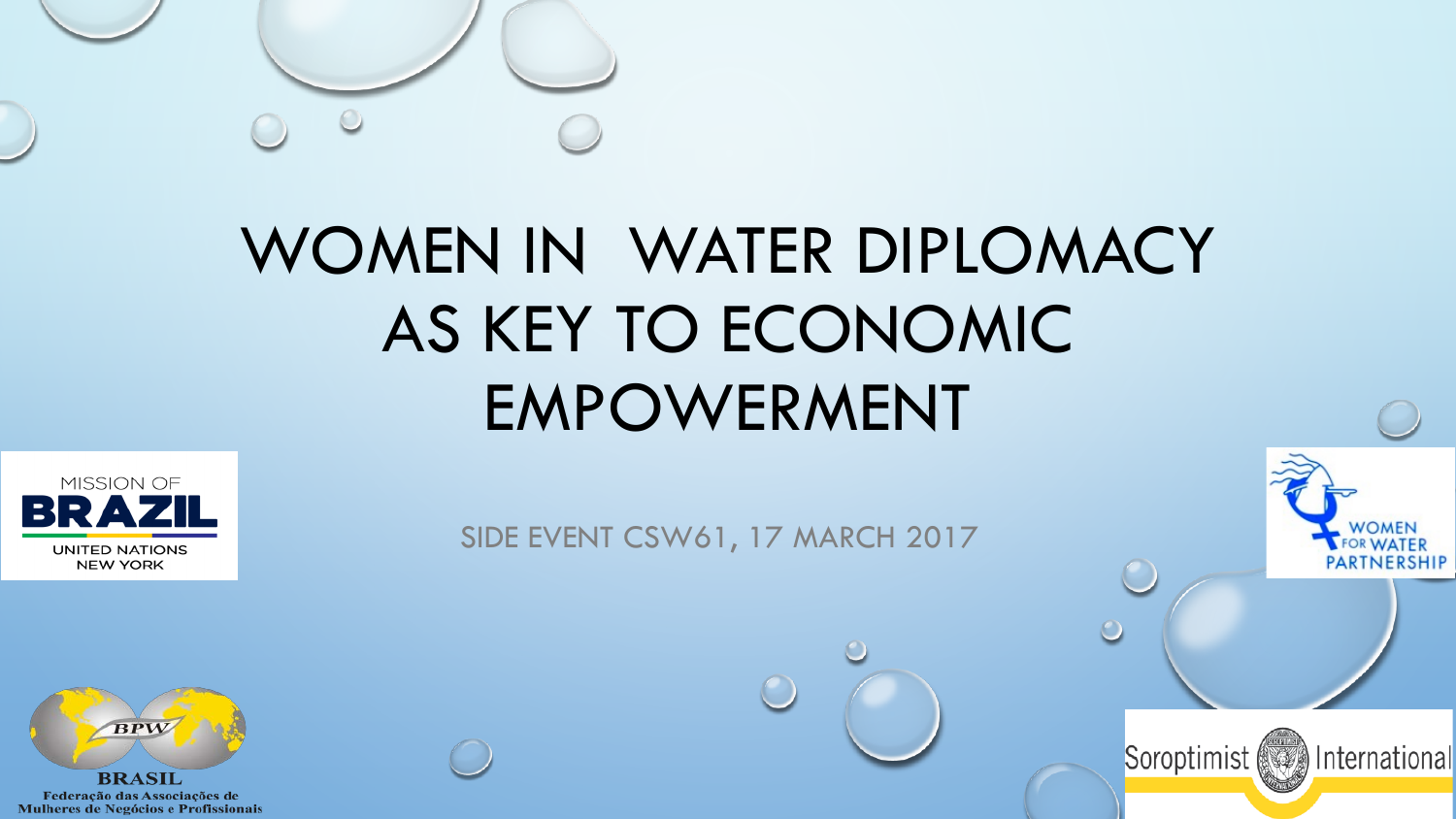

# WOMEN IN WATER DIPLOMACY AS KEY TO ECONOMIC EMPOWERMENT



SIDE EVENT CSW61, 17 MARCH 2017

Soroptimist (See) International



Federação das Associações de Mulheres de Negócios e Profissionais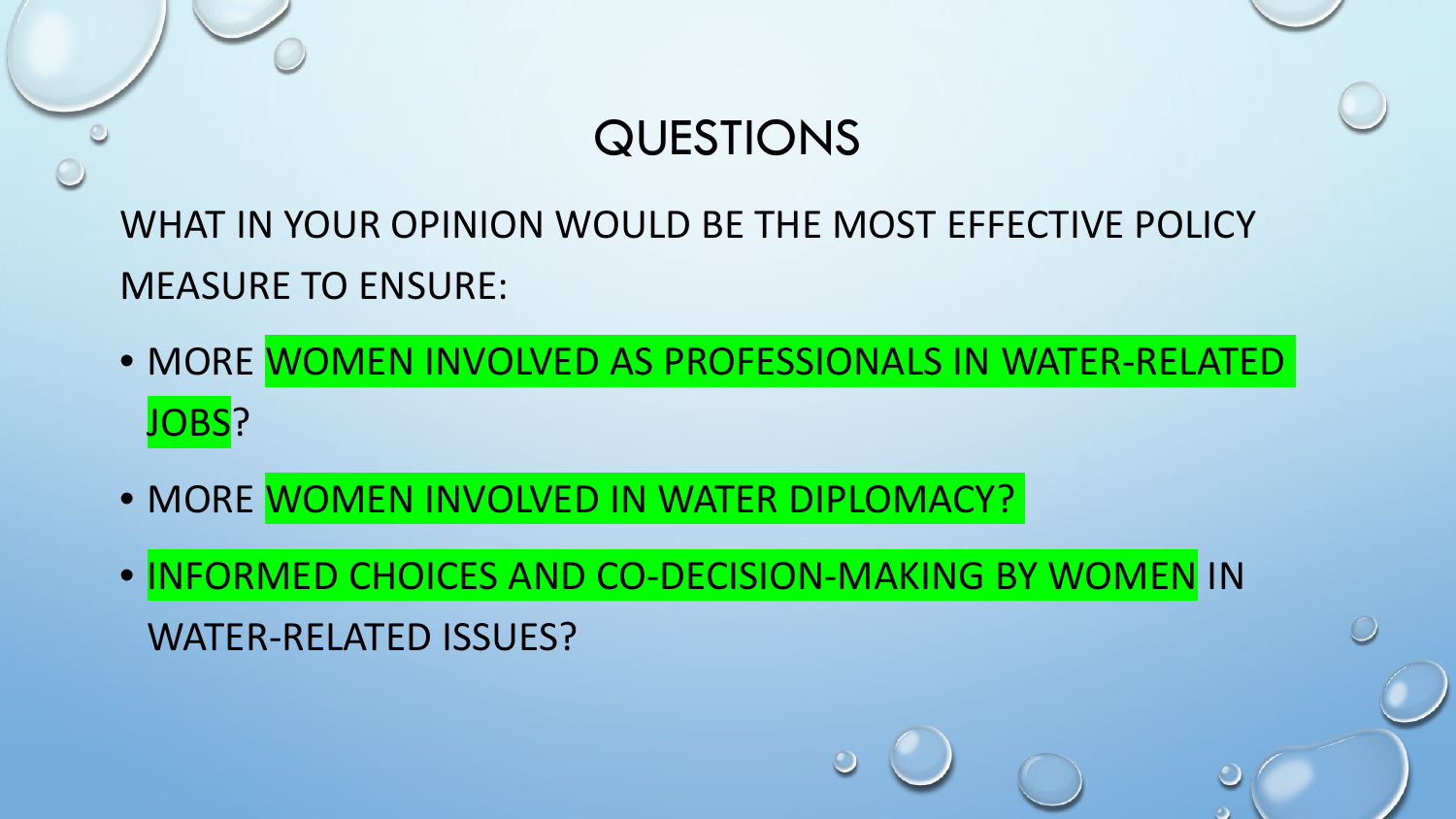

WHAT IN YOUR OPINION WOULD BE THE MOST EFFECTIVE POLICY MEASURE TO ENSURE:

- MORE WOMEN INVOLVED AS PROFESSIONALS IN WATER-RELATED JOBS?
- MORE WOMEN INVOLVED IN WATER DIPLOMACY?
- INFORMED CHOICES AND CO-DECISION-MAKING BY WOMEN IN WATER-RELATED ISSUES?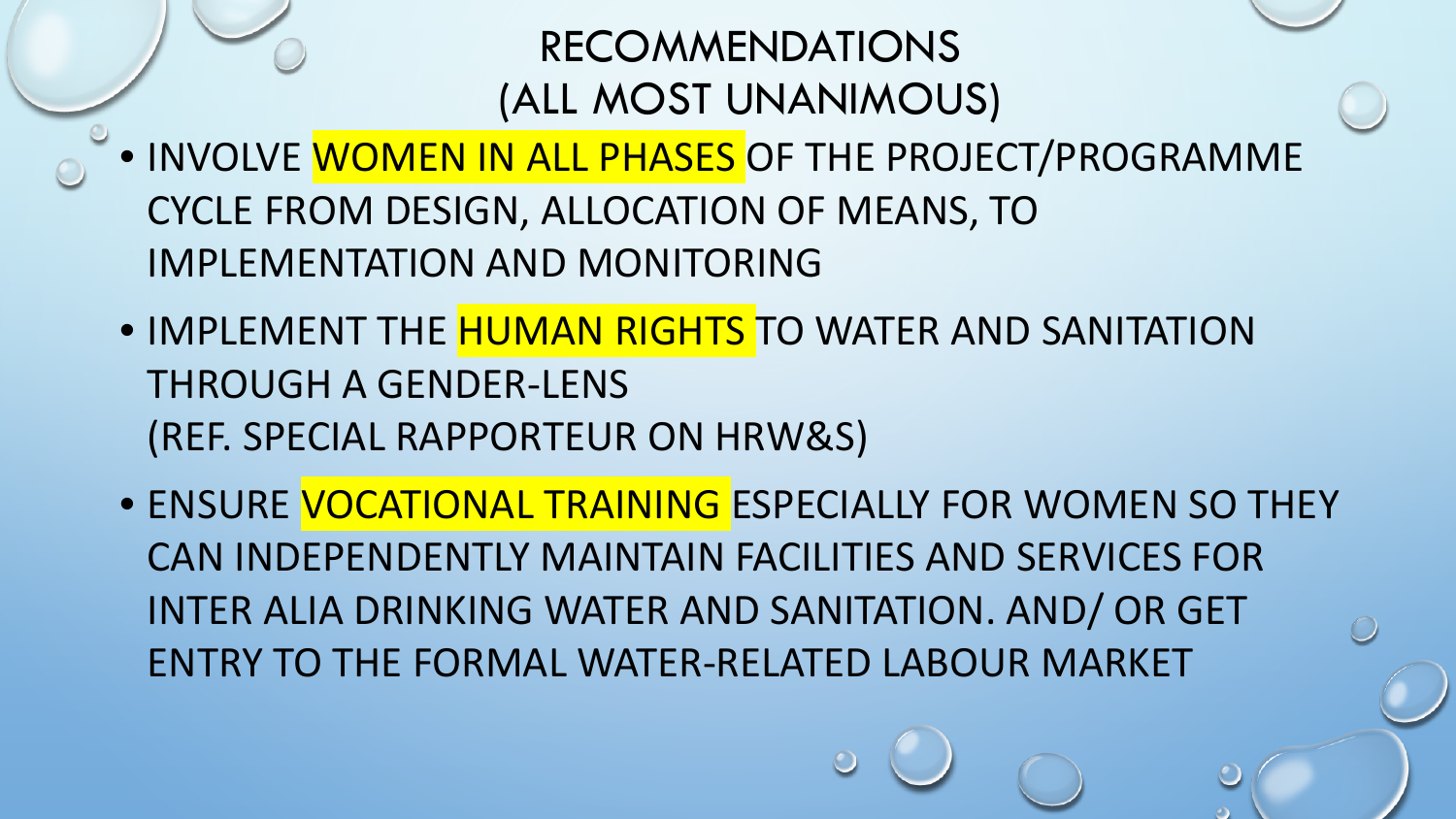#### RECOMMENDATIONS (ALL MOST UNANIMOUS)

- INVOLVE WOMEN IN ALL PHASES OF THE PROJECT/PROGRAMME CYCLE FROM DESIGN, ALLOCATION OF MEANS, TO IMPLEMENTATION AND MONITORING
- IMPLEMENT THE **HUMAN RIGHTS** TO WATER AND SANITATION THROUGH A GENDER-LENS (REF. SPECIAL RAPPORTEUR ON HRW&S)
- ENSURE VOCATIONAL TRAINING ESPECIALLY FOR WOMEN SO THEY CAN INDEPENDENTLY MAINTAIN FACILITIES AND SERVICES FOR INTER ALIA DRINKING WATER AND SANITATION. AND/ OR GET ENTRY TO THE FORMAL WATER-RELATED LABOUR MARKET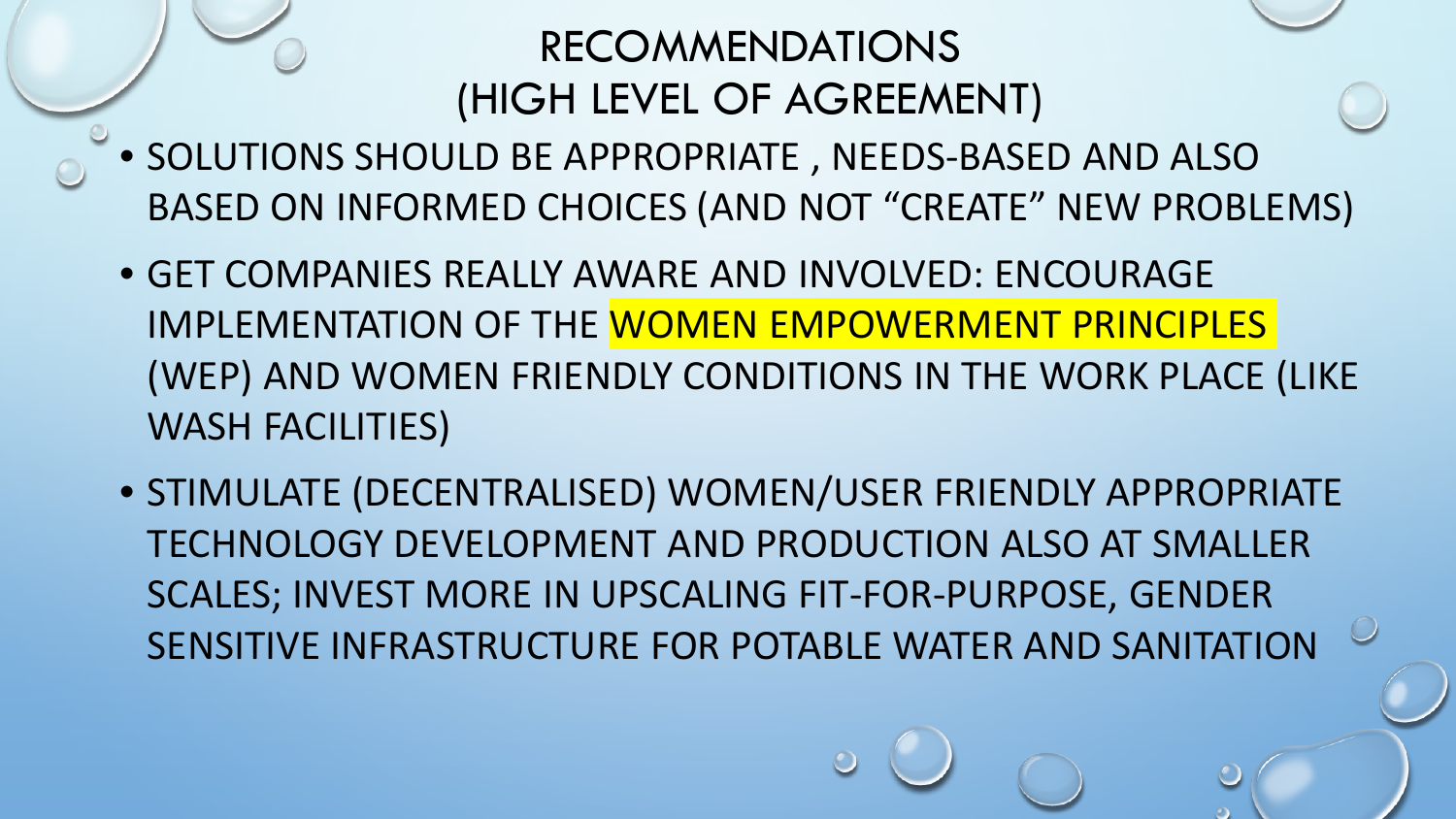### RECOMMENDATIONS (HIGH LEVEL OF AGREEMENT)

- SOLUTIONS SHOULD BE APPROPRIATE , NEEDS-BASED AND ALSO BASED ON INFORMED CHOICES (AND NOT "CREATE" NEW PROBLEMS)
- GET COMPANIES REALLY AWARE AND INVOLVED: ENCOURAGE IMPLEMENTATION OF THE WOMEN EMPOWERMENT PRINCIPLES (WEP) AND WOMEN FRIENDLY CONDITIONS IN THE WORK PLACE (LIKE WASH FACILITIES)
- STIMULATE (DECENTRALISED) WOMEN/USER FRIENDLY APPROPRIATE TECHNOLOGY DEVELOPMENT AND PRODUCTION ALSO AT SMALLER SCALES; INVEST MORE IN UPSCALING FIT-FOR-PURPOSE, GENDER SENSITIVE INFRASTRUCTURE FOR POTABLE WATER AND SANITATION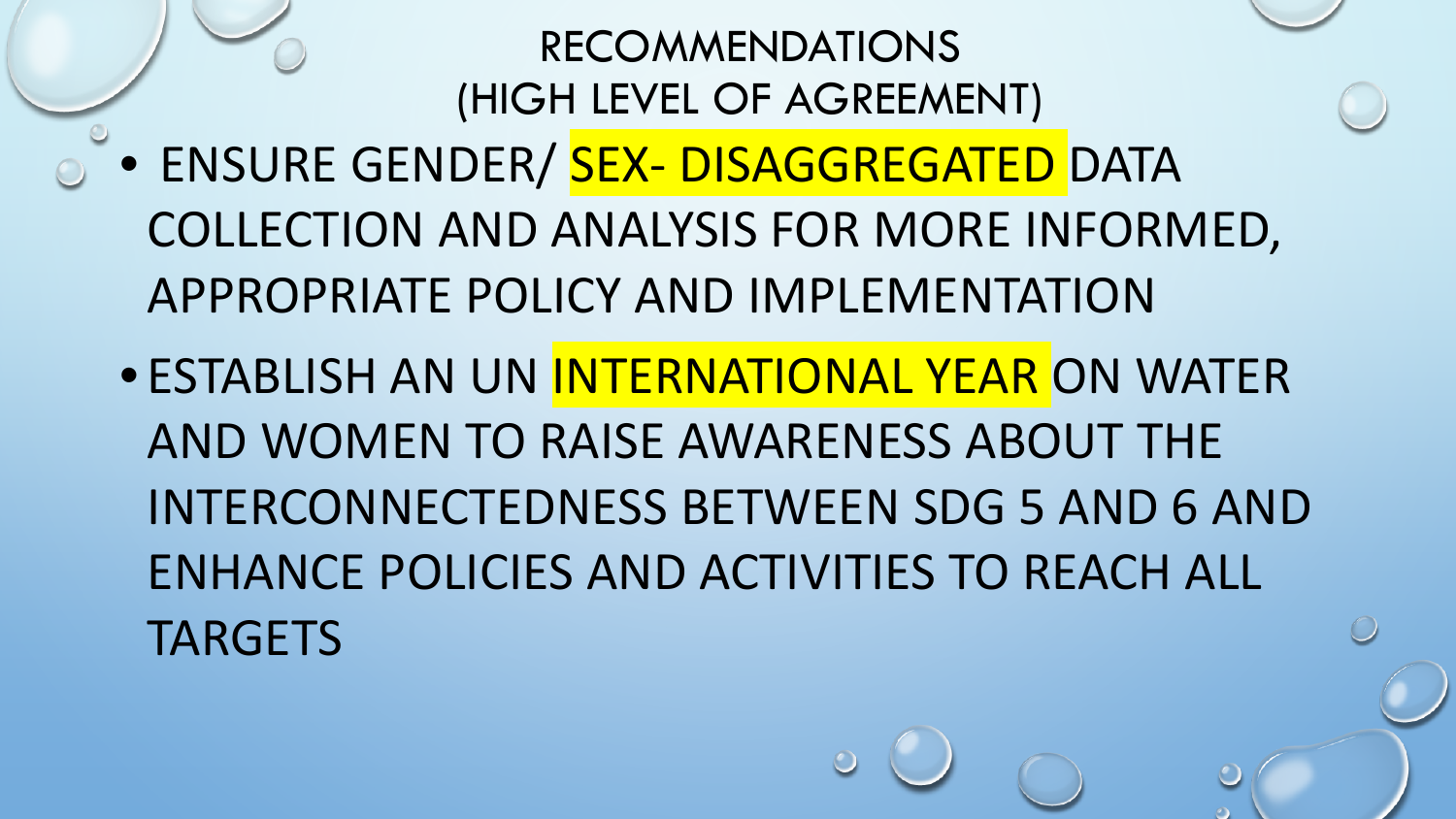### RECOMMENDATIONS (HIGH LEVEL OF AGREEMENT)

- ENSURE GENDER/ SEX- DISAGGREGATED DATA COLLECTION AND ANALYSIS FOR MORE INFORMED, APPROPRIATE POLICY AND IMPLEMENTATION
	- ESTABLISH AN UN INTERNATIONAL YEAR ON WATER AND WOMEN TO RAISE AWARENESS ABOUT THE INTERCONNECTEDNESS BETWEEN SDG 5 AND 6 AND ENHANCE POLICIES AND ACTIVITIES TO REACH ALL **TARGETS**